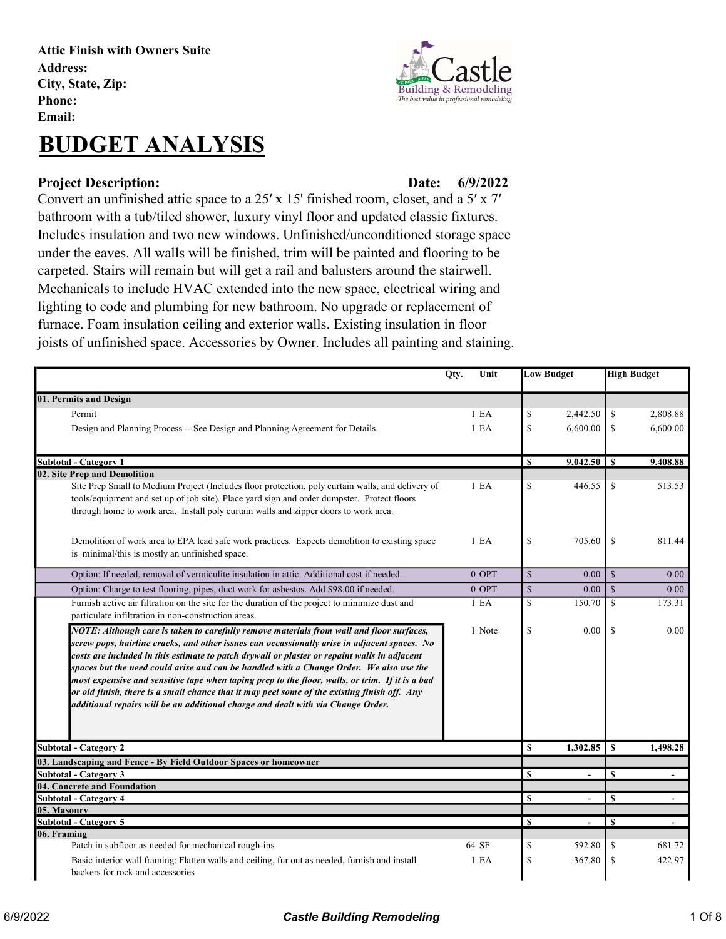Attic Finish with Owners Suite Address: City, State, Zip: Phone: Email:

## BUDGET ANALYSIS

## Project Description: Date:

6/9/2022

Convert an unfinished attic space to a 25′ x 15' finished room, closet, and a 5′ x 7′ bathroom with a tub/tiled shower, luxury vinyl floor and updated classic fixtures. Includes insulation and two new windows. Unfinished/unconditioned storage space under the eaves. All walls will be finished, trim will be painted and flooring to be carpeted. Stairs will remain but will get a rail and balusters around the stairwell. Mechanicals to include HVAC extended into the new space, electrical wiring and lighting to code and plumbing for new bathroom. No upgrade or replacement of furnace. Foam insulation ceiling and exterior walls. Existing insulation in floor joists of unfinished space. Accessories by Owner. Includes all painting and staining.

|                                                                                                                                                                                                                                                                                                                                                                                                                                                                                                                                                                                                                                                                            | Unit<br>Qty. |                  | <b>Low Budget</b>       |                |               | <b>High Budget</b> |
|----------------------------------------------------------------------------------------------------------------------------------------------------------------------------------------------------------------------------------------------------------------------------------------------------------------------------------------------------------------------------------------------------------------------------------------------------------------------------------------------------------------------------------------------------------------------------------------------------------------------------------------------------------------------------|--------------|------------------|-------------------------|----------------|---------------|--------------------|
| 01. Permits and Design                                                                                                                                                                                                                                                                                                                                                                                                                                                                                                                                                                                                                                                     |              |                  |                         |                |               |                    |
| Permit                                                                                                                                                                                                                                                                                                                                                                                                                                                                                                                                                                                                                                                                     |              | 1 E A            | $\mathbb{S}$            | 2,442.50       | \$            | 2,808.88           |
| Design and Planning Process -- See Design and Planning Agreement for Details.                                                                                                                                                                                                                                                                                                                                                                                                                                                                                                                                                                                              |              | 1 E <sub>A</sub> | \$                      | 6,600.00       | <sup>\$</sup> | 6,600.00           |
| <b>Subtotal - Category 1</b>                                                                                                                                                                                                                                                                                                                                                                                                                                                                                                                                                                                                                                               |              |                  | $\mathbf{s}$            | $9,042.50$ \$  |               | 9,408.88           |
| 02. Site Prep and Demolition                                                                                                                                                                                                                                                                                                                                                                                                                                                                                                                                                                                                                                               |              |                  |                         |                |               |                    |
| Site Prep Small to Medium Project (Includes floor protection, poly curtain walls, and delivery of<br>tools/equipment and set up of job site). Place yard sign and order dumpster. Protect floors<br>through home to work area. Install poly curtain walls and zipper doors to work area.                                                                                                                                                                                                                                                                                                                                                                                   |              | $1$ EA           | \$                      | 446.55         | <sup>\$</sup> | 513.53             |
| Demolition of work area to EPA lead safe work practices. Expects demolition to existing space<br>is minimal/this is mostly an unfinished space.                                                                                                                                                                                                                                                                                                                                                                                                                                                                                                                            |              | 1 E <sub>A</sub> | \$                      | 705.60         | \$            | 811.44             |
| Option: If needed, removal of vermiculite insulation in attic. Additional cost if needed.                                                                                                                                                                                                                                                                                                                                                                                                                                                                                                                                                                                  |              | $0$ OPT          | $\mathbb{S}$            | 0.00           | $\mathcal{S}$ | 0.00               |
| Option: Charge to test flooring, pipes, duct work for asbestos. Add \$98.00 if needed.                                                                                                                                                                                                                                                                                                                                                                                                                                                                                                                                                                                     |              | $0$ OPT          | $\overline{\mathbb{S}}$ | 0.00           | $\mathcal{S}$ | 0.00               |
| Furnish active air filtration on the site for the duration of the project to minimize dust and<br>particulate infiltration in non-construction areas.                                                                                                                                                                                                                                                                                                                                                                                                                                                                                                                      |              | 1 E A            | \$                      | 150.70         | <sup>\$</sup> | 173.31             |
| NOTE: Although care is taken to carefully remove materials from wall and floor surfaces,<br>screw pops, hairline cracks, and other issues can occassionally arise in adjacent spaces. No<br>costs are included in this estimate to patch drywall or plaster or repaint walls in adjacent<br>spaces but the need could arise and can be handled with a Change Order. We also use the<br>most expensive and sensitive tape when taping prep to the floor, walls, or trim. If it is a bad<br>or old finish, there is a small chance that it may peel some of the existing finish off. Any<br>additional repairs will be an additional charge and dealt with via Change Order. |              | 1 Note           | \$                      | 0.00           | <sup>\$</sup> | 0.00               |
| <b>Subtotal - Category 2</b>                                                                                                                                                                                                                                                                                                                                                                                                                                                                                                                                                                                                                                               |              |                  | $\overline{\mathbf{s}}$ | 1,302.85       | \$            | 1,498.28           |
| 03. Landscaping and Fence - By Field Outdoor Spaces or homeowner                                                                                                                                                                                                                                                                                                                                                                                                                                                                                                                                                                                                           |              |                  |                         |                |               |                    |
| <b>Subtotal - Category 3</b>                                                                                                                                                                                                                                                                                                                                                                                                                                                                                                                                                                                                                                               |              |                  | $\mathbf S$             | ÷.             | $\mathbf{s}$  |                    |
| 04. Concrete and Foundation                                                                                                                                                                                                                                                                                                                                                                                                                                                                                                                                                                                                                                                |              |                  |                         |                |               |                    |
| <b>Subtotal - Category 4</b>                                                                                                                                                                                                                                                                                                                                                                                                                                                                                                                                                                                                                                               |              |                  | S                       |                | $\mathbf{s}$  |                    |
| 05. Masonry<br><b>Subtotal - Category 5</b>                                                                                                                                                                                                                                                                                                                                                                                                                                                                                                                                                                                                                                |              |                  | $\overline{\mathbf{s}}$ |                | <sup>\$</sup> |                    |
| 06. Framing                                                                                                                                                                                                                                                                                                                                                                                                                                                                                                                                                                                                                                                                |              |                  |                         | $\blacksquare$ |               | $\blacksquare$     |
| Patch in subfloor as needed for mechanical rough-ins                                                                                                                                                                                                                                                                                                                                                                                                                                                                                                                                                                                                                       |              | 64 SF            | \$                      | 592.80         | \$            | 681.72             |
| Basic interior wall framing: Flatten walls and ceiling, fur out as needed, furnish and install<br>backers for rock and accessories                                                                                                                                                                                                                                                                                                                                                                                                                                                                                                                                         |              | 1 E A            | \$                      | 367.80         | \$            | 422.97             |

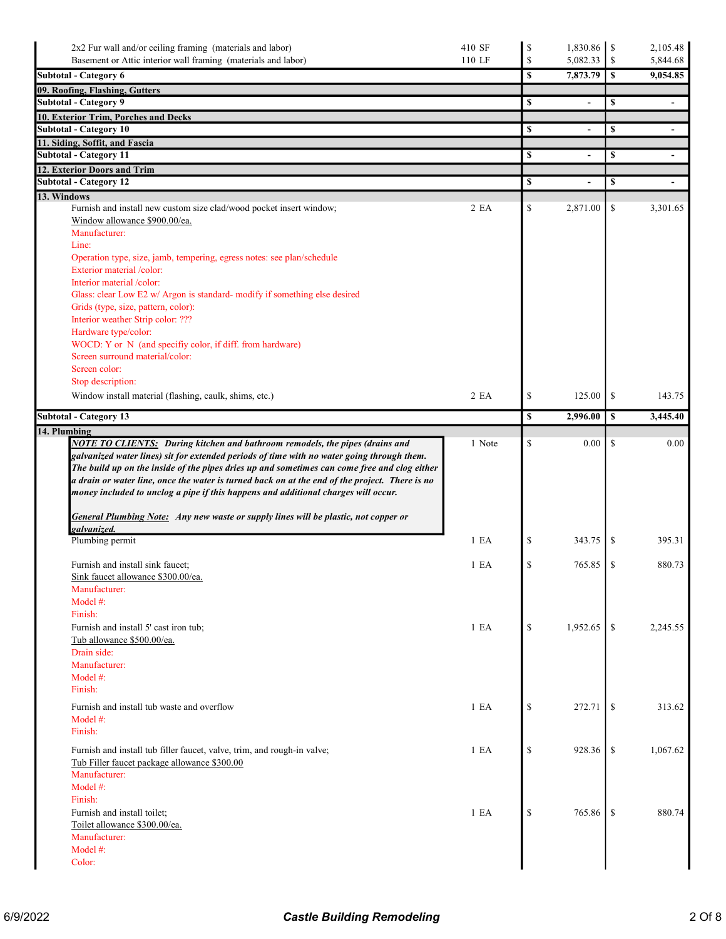| Basement or Attic interior wall framing (materials and labor)<br><b>Subtotal - Category 6</b>                                                                                                                                                                                        |                  | \$           |                |                  | 2,105.48                 |
|--------------------------------------------------------------------------------------------------------------------------------------------------------------------------------------------------------------------------------------------------------------------------------------|------------------|--------------|----------------|------------------|--------------------------|
|                                                                                                                                                                                                                                                                                      | 110 LF           | $\mathbb{S}$ | 5,082.33       | \$               | 5,844.68                 |
|                                                                                                                                                                                                                                                                                      |                  | \$           | 7,873.79       | $\boldsymbol{s}$ | 9,054.85                 |
| 09. Roofing, Flashing, Gutters                                                                                                                                                                                                                                                       |                  |              |                |                  |                          |
| <b>Subtotal - Category 9</b>                                                                                                                                                                                                                                                         |                  | \$           | $\blacksquare$ | \$               | $\overline{\phantom{a}}$ |
| 10. Exterior Trim, Porches and Decks                                                                                                                                                                                                                                                 |                  |              |                |                  |                          |
| <b>Subtotal - Category 10</b>                                                                                                                                                                                                                                                        |                  | \$           | $\blacksquare$ | \$               | $\blacksquare$           |
| 11. Siding, Soffit, and Fascia                                                                                                                                                                                                                                                       |                  |              |                |                  |                          |
| <b>Subtotal - Category 11</b>                                                                                                                                                                                                                                                        |                  | \$           |                | $\mathbf s$      |                          |
| 12. Exterior Doors and Trim<br><b>Subtotal - Category 12</b>                                                                                                                                                                                                                         |                  | \$           |                | \$               |                          |
| 13. Windows                                                                                                                                                                                                                                                                          |                  |              |                |                  |                          |
| Furnish and install new custom size clad/wood pocket insert window;                                                                                                                                                                                                                  | 2EA              | \$           | 2,871.00       | \$               | 3,301.65                 |
| Window allowance \$900.00/ea.                                                                                                                                                                                                                                                        |                  |              |                |                  |                          |
| Manufacturer:                                                                                                                                                                                                                                                                        |                  |              |                |                  |                          |
| Line:                                                                                                                                                                                                                                                                                |                  |              |                |                  |                          |
| Operation type, size, jamb, tempering, egress notes: see plan/schedule<br>Exterior material /color:                                                                                                                                                                                  |                  |              |                |                  |                          |
| Interior material /color:                                                                                                                                                                                                                                                            |                  |              |                |                  |                          |
| Glass: clear Low E2 w/ Argon is standard- modify if something else desired                                                                                                                                                                                                           |                  |              |                |                  |                          |
| Grids (type, size, pattern, color):                                                                                                                                                                                                                                                  |                  |              |                |                  |                          |
| Interior weather Strip color: ???                                                                                                                                                                                                                                                    |                  |              |                |                  |                          |
| Hardware type/color:                                                                                                                                                                                                                                                                 |                  |              |                |                  |                          |
| WOCD: Y or N (and specifiy color, if diff. from hardware)                                                                                                                                                                                                                            |                  |              |                |                  |                          |
| Screen surround material/color:<br>Screen color:                                                                                                                                                                                                                                     |                  |              |                |                  |                          |
| Stop description:                                                                                                                                                                                                                                                                    |                  |              |                |                  |                          |
| Window install material (flashing, caulk, shims, etc.)                                                                                                                                                                                                                               | 2EA              | \$           | 125.00         | \$               | 143.75                   |
|                                                                                                                                                                                                                                                                                      |                  |              |                |                  |                          |
| <b>Subtotal - Category 13</b>                                                                                                                                                                                                                                                        |                  | \$           | 2,996.00       | \$               | 3,445.40                 |
| 14. Plumbing<br>NOTE TO CLIENTS: During kitchen and bathroom remodels, the pipes (drains and                                                                                                                                                                                         | 1 Note           | \$           | 0.00           | <sup>\$</sup>    | 0.00                     |
| The build up on the inside of the pipes dries up and sometimes can come free and clog either<br>a drain or water line, once the water is turned back on at the end of the project. There is no<br>money included to unclog a pipe if this happens and additional charges will occur. |                  |              |                |                  |                          |
| <b>General Plumbing Note:</b> Any new waste or supply lines will be plastic, not copper or                                                                                                                                                                                           |                  |              |                |                  |                          |
| galvanized.                                                                                                                                                                                                                                                                          |                  |              |                |                  |                          |
| Plumbing permit                                                                                                                                                                                                                                                                      | 1 E <sub>A</sub> | \$           | 343.75         | <sup>\$</sup>    | 395.31                   |
|                                                                                                                                                                                                                                                                                      |                  |              |                |                  |                          |
| Furnish and install sink faucet:                                                                                                                                                                                                                                                     | 1 E A            | $\mathbb{S}$ | 765.85         | <sup>\$</sup>    | 880.73                   |
| Sink faucet allowance \$300.00/ea.<br>Manufacturer:                                                                                                                                                                                                                                  |                  |              |                |                  |                          |
| Model #:                                                                                                                                                                                                                                                                             |                  |              |                |                  |                          |
| Finish:                                                                                                                                                                                                                                                                              |                  |              |                |                  |                          |
| Furnish and install 5' cast iron tub;                                                                                                                                                                                                                                                | 1 E A            | \$           | 1,952.65       | <sup>\$</sup>    | 2,245.55                 |
| Tub allowance \$500.00/ea.                                                                                                                                                                                                                                                           |                  |              |                |                  |                          |
| Drain side:                                                                                                                                                                                                                                                                          |                  |              |                |                  |                          |
| Manufacturer:<br>Model #:                                                                                                                                                                                                                                                            |                  |              |                |                  |                          |
| Finish:                                                                                                                                                                                                                                                                              |                  |              |                |                  |                          |
| Furnish and install tub waste and overflow                                                                                                                                                                                                                                           |                  |              |                |                  | 313.62                   |
| Model $#$ :                                                                                                                                                                                                                                                                          | 1 E A            | \$           | 272.71         | -S               |                          |
| Finish:                                                                                                                                                                                                                                                                              |                  |              |                |                  |                          |
| Furnish and install tub filler faucet, valve, trim, and rough-in valve;                                                                                                                                                                                                              | 1 E A            | \$           | 928.36         | -S               | 1,067.62                 |
| Tub Filler faucet package allowance \$300.00<br>Manufacturer:                                                                                                                                                                                                                        |                  |              |                |                  |                          |
| Model #:                                                                                                                                                                                                                                                                             |                  |              |                |                  |                          |
| Finish:                                                                                                                                                                                                                                                                              |                  |              |                |                  |                          |
| Furnish and install toilet;                                                                                                                                                                                                                                                          | 1 E A            | \$           | 765.86         | <sup>\$</sup>    | 880.74                   |
| Toilet allowance \$300.00/ea.                                                                                                                                                                                                                                                        |                  |              |                |                  |                          |
| Manufacturer:                                                                                                                                                                                                                                                                        |                  |              |                |                  |                          |
| Model #:<br>Color:                                                                                                                                                                                                                                                                   |                  |              |                |                  |                          |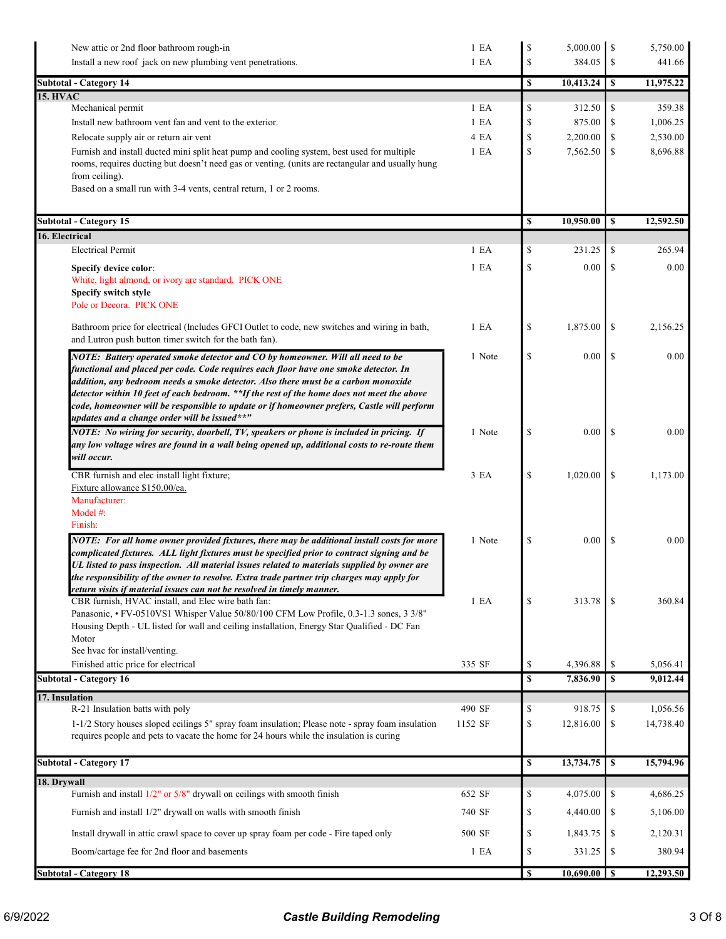| New attic or 2nd floor bathroom rough-in<br>Install a new roof jack on new plumbing vent penetrations.                                                                 | 1 E A<br>1 E A   | \$<br>$\mathcal{S}$ | 5,000.00<br>384.05 | 1 S<br>\$     | 5,750.00<br>441.66 |
|------------------------------------------------------------------------------------------------------------------------------------------------------------------------|------------------|---------------------|--------------------|---------------|--------------------|
| <b>Subtotal - Category 14</b>                                                                                                                                          |                  | \$                  | 10,413.24          | \$            | 11,975.22          |
| <b>15. HVAC</b>                                                                                                                                                        | 1 E <sub>A</sub> |                     |                    |               |                    |
| Mechanical permit<br>Install new bathroom vent fan and vent to the exterior.                                                                                           | 1 E <sub>A</sub> | \$<br>\$            | 312.50<br>875.00   | \$<br>\$      | 359.38<br>1,006.25 |
| Relocate supply air or return air vent                                                                                                                                 | 4 EA             | $\mathbb S$         | 2,200.00           | \$            | 2,530.00           |
| Furnish and install ducted mini split heat pump and cooling system, best used for multiple                                                                             | 1 E A            | \$                  | 7,562.50           | \$            | 8,696.88           |
| rooms, requires ducting but doesn't need gas or venting. (units are rectangular and usually hung                                                                       |                  |                     |                    |               |                    |
| from ceiling).                                                                                                                                                         |                  |                     |                    |               |                    |
| Based on a small run with 3-4 vents, central return, 1 or 2 rooms.                                                                                                     |                  |                     |                    |               |                    |
| <b>Subtotal - Category 15</b>                                                                                                                                          |                  | S                   | 10,950.00          | \$            | 12,592.50          |
| 16. Electrical                                                                                                                                                         |                  |                     |                    |               |                    |
| <b>Electrical Permit</b>                                                                                                                                               | 1 E <sub>A</sub> | $\mathcal{S}$       | 231.25             | \$            | 265.94             |
| Specify device color:                                                                                                                                                  | 1 E A            | \$                  | 0.00               | S             | 0.00               |
| White, light almond, or ivory are standard. PICK ONE                                                                                                                   |                  |                     |                    |               |                    |
| Specify switch style<br>Pole or Decora. PICK ONE                                                                                                                       |                  |                     |                    |               |                    |
|                                                                                                                                                                        |                  |                     |                    |               |                    |
| Bathroom price for electrical (Includes GFCI Outlet to code, new switches and wiring in bath,                                                                          | 1 E A            | \$                  | 1,875.00           | \$            | 2,156.25           |
| and Lutron push button timer switch for the bath fan).                                                                                                                 |                  |                     |                    |               |                    |
| NOTE: Battery operated smoke detector and CO by homeowner. Will all need to be<br>functional and placed per code. Code requires each floor have one smoke detector. In | 1 Note           | \$                  | 0.00               | <sup>\$</sup> | 0.00               |
| addition, any bedroom needs a smoke detector. Also there must be a carbon monoxide                                                                                     |                  |                     |                    |               |                    |
| detector within 10 feet of each bedroom. **If the rest of the home does not meet the above                                                                             |                  |                     |                    |               |                    |
| code, homeowner will be responsible to update or if homeowner prefers, Castle will perform                                                                             |                  |                     |                    |               |                    |
| updates and a change order will be issued**"<br>NOTE: No wiring for security, doorbell, TV, speakers or phone is included in pricing. If                               | 1 Note           | \$                  | 0.00               | <sup>\$</sup> | 0.00               |
| any low voltage wires are found in a wall being opened up, additional costs to re-route them                                                                           |                  |                     |                    |               |                    |
| will occur.                                                                                                                                                            |                  |                     |                    |               |                    |
| CBR furnish and elec install light fixture;                                                                                                                            | 3 EA             | \$                  | 1,020.00           | \$            | 1,173.00           |
| Fixture allowance \$150.00/ea.                                                                                                                                         |                  |                     |                    |               |                    |
| Manufacturer:<br>Model #:                                                                                                                                              |                  |                     |                    |               |                    |
| Finish:                                                                                                                                                                |                  |                     |                    |               |                    |
| NOTE: For all home owner provided fixtures, there may be additional install costs for more                                                                             | 1 Note           | \$                  | 0.00               | \$            | 0.00               |
| complicated fixtures. ALL light fixtures must be specified prior to contract signing and be                                                                            |                  |                     |                    |               |                    |
| UL listed to pass inspection. All material issues related to materials supplied by owner are                                                                           |                  |                     |                    |               |                    |
| the responsibility of the owner to resolve. Extra trade partner trip charges may apply for<br>return visits if material issues can not be resolved in timely manner.   |                  |                     |                    |               |                    |
| CBR furnish, HVAC install, and Elec wire bath fan:                                                                                                                     | 1 E A            | \$                  | 313.78             | \$            | 360.84             |
| Panasonic, • FV-0510VS1 Whisper Value 50/80/100 CFM Low Profile, 0.3-1.3 sones, 3 3/8"                                                                                 |                  |                     |                    |               |                    |
| Housing Depth - UL listed for wall and ceiling installation, Energy Star Qualified - DC Fan<br>Motor                                                                   |                  |                     |                    |               |                    |
| See hvac for install/venting.                                                                                                                                          |                  |                     |                    |               |                    |
| Finished attic price for electrical                                                                                                                                    | 335 SF           | \$                  | 4,396.88           | \$            | 5,056.41           |
| <b>Subtotal - Category 16</b>                                                                                                                                          |                  | \$                  | 7,836.90           | <sup>S</sup>  | 9,012.44           |
| 17. Insulation<br>R-21 Insulation batts with poly                                                                                                                      | 490 SF           | \$                  | 918.75             | \$            | 1,056.56           |
| 1-1/2 Story houses sloped ceilings 5" spray foam insulation; Please note - spray foam insulation                                                                       | 1152 SF          | \$                  | 12,816.00          | \$            | 14,738.40          |
| requires people and pets to vacate the home for 24 hours while the insulation is curing                                                                                |                  |                     |                    |               |                    |
|                                                                                                                                                                        |                  |                     |                    |               |                    |
| <b>Subtotal - Category 17</b>                                                                                                                                          |                  | \$                  | 13,734.75          | $\mathbf{s}$  | 15,794.96          |
| 18. Drywall<br>Furnish and install $1/2$ " or $5/8$ " drywall on ceilings with smooth finish                                                                           | 652 SF           | \$                  | 4,075.00           | \$            | 4,686.25           |
| Furnish and install 1/2" drywall on walls with smooth finish                                                                                                           | 740 SF           | \$                  | 4,440.00           | \$            | 5,106.00           |
|                                                                                                                                                                        |                  |                     |                    |               |                    |
| Install drywall in attic crawl space to cover up spray foam per code - Fire taped only                                                                                 | 500 SF           | \$                  | 1,843.75           | \$            | 2,120.31           |
| Boom/cartage fee for 2nd floor and basements                                                                                                                           | 1 E A            | \$                  | 331.25             | \$            | 380.94             |
| <b>Subtotal - Category 18</b>                                                                                                                                          |                  | \$                  | $10,690.00$ \ \$   |               | 12,293.50          |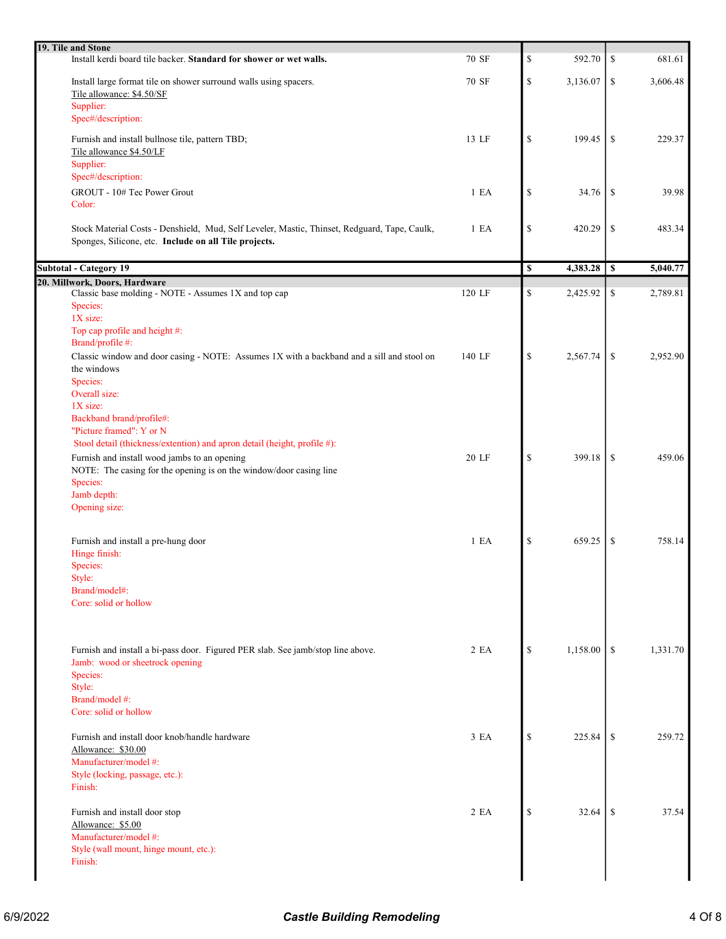| 19. Tile and Stone                                                                                                                                    |        |                                                                       |          |               |          |
|-------------------------------------------------------------------------------------------------------------------------------------------------------|--------|-----------------------------------------------------------------------|----------|---------------|----------|
| Install kerdi board tile backer. Standard for shower or wet walls.                                                                                    | 70 SF  | $\mathbb S$                                                           | 592.70   | \$            | 681.61   |
| Install large format tile on shower surround walls using spacers.<br>Tile allowance: \$4.50/SF                                                        | 70 SF  | $\mathbb{S}% _{t}\left( t\right) \equiv\mathbb{S}_{t}\left( t\right)$ | 3,136.07 | $\mathbb{S}$  | 3,606.48 |
| Supplier:<br>Spec#/description:                                                                                                                       |        |                                                                       |          |               |          |
| Furnish and install bullnose tile, pattern TBD;<br>Tile allowance \$4.50/LF<br>Supplier:                                                              | 13 LF  | ${\mathbb S}$                                                         | 199.45   | \$            | 229.37   |
| Spec#/description:<br>GROUT - 10# Tec Power Grout<br>Color:                                                                                           | 1 E A  | ${\mathbb S}$                                                         | 34.76    | \$            | 39.98    |
| Stock Material Costs - Denshield, Mud, Self Leveler, Mastic, Thinset, Redguard, Tape, Caulk,<br>Sponges, Silicone, etc. Include on all Tile projects. | 1 E A  | $\mathbb{S}% _{t}\left( t\right) \equiv\mathbb{S}_{t}\left( t\right)$ | 420.29   | \$            | 483.34   |
| <b>Subtotal - Category 19</b>                                                                                                                         |        | $\overline{\mathbb{S}}$                                               | 4,383.28 | <sup>\$</sup> | 5,040.77 |
| 20. Millwork, Doors, Hardware                                                                                                                         |        |                                                                       |          |               |          |
| Classic base molding - NOTE - Assumes 1X and top cap<br>Species:<br>1X size:                                                                          | 120 LF | $\mathbb{S}% _{t}\left( t\right) \equiv\mathbb{S}_{t}\left( t\right)$ | 2,425.92 | \$            | 2,789.81 |
| Top cap profile and height #:<br>Brand/profile #:                                                                                                     |        |                                                                       |          |               |          |
| Classic window and door casing - NOTE: Assumes 1X with a backband and a sill and stool on<br>the windows<br>Species:                                  | 140 LF | \$                                                                    | 2,567.74 | \$            | 2,952.90 |
| Overall size:<br>1X size:                                                                                                                             |        |                                                                       |          |               |          |
| Backband brand/profile#:<br>"Picture framed": Y or N<br>Stool detail (thickness/extention) and apron detail (height, profile #):                      |        |                                                                       |          |               |          |
| Furnish and install wood jambs to an opening<br>NOTE: The casing for the opening is on the window/door casing line<br>Species:                        | 20 LF  | \$                                                                    | 399.18   | \$            | 459.06   |
| Jamb depth:                                                                                                                                           |        |                                                                       |          |               |          |
| Opening size:                                                                                                                                         |        |                                                                       |          |               |          |
| Furnish and install a pre-hung door<br>Hinge finish:<br>Species:                                                                                      | 1 E A  | ${\mathbb S}$                                                         | 659.25   | $\mathcal{S}$ | 758.14   |
| Style:                                                                                                                                                |        |                                                                       |          |               |          |
| Brand/model#:<br>Core: solid or hollow                                                                                                                |        |                                                                       |          |               |          |
| Furnish and install a bi-pass door. Figured PER slab. See jamb/stop line above.<br>Jamb: wood or sheetrock opening                                    | 2 EA   | \$                                                                    | 1,158.00 | \$            | 1,331.70 |
| Species:<br>Style:                                                                                                                                    |        |                                                                       |          |               |          |
| Brand/model #:<br>Core: solid or hollow                                                                                                               |        |                                                                       |          |               |          |
| Furnish and install door knob/handle hardware<br>Allowance: \$30.00<br>Manufacturer/model #:                                                          | 3 EA   | \$                                                                    | 225.84   | -S            | 259.72   |
| Style (locking, passage, etc.):<br>Finish:                                                                                                            |        |                                                                       |          |               |          |
| Furnish and install door stop<br>Allowance: \$5.00<br>Manufacturer/model #:                                                                           | 2 EA   | \$                                                                    | 32.64    | \$            | 37.54    |
| Style (wall mount, hinge mount, etc.):<br>Finish:                                                                                                     |        |                                                                       |          |               |          |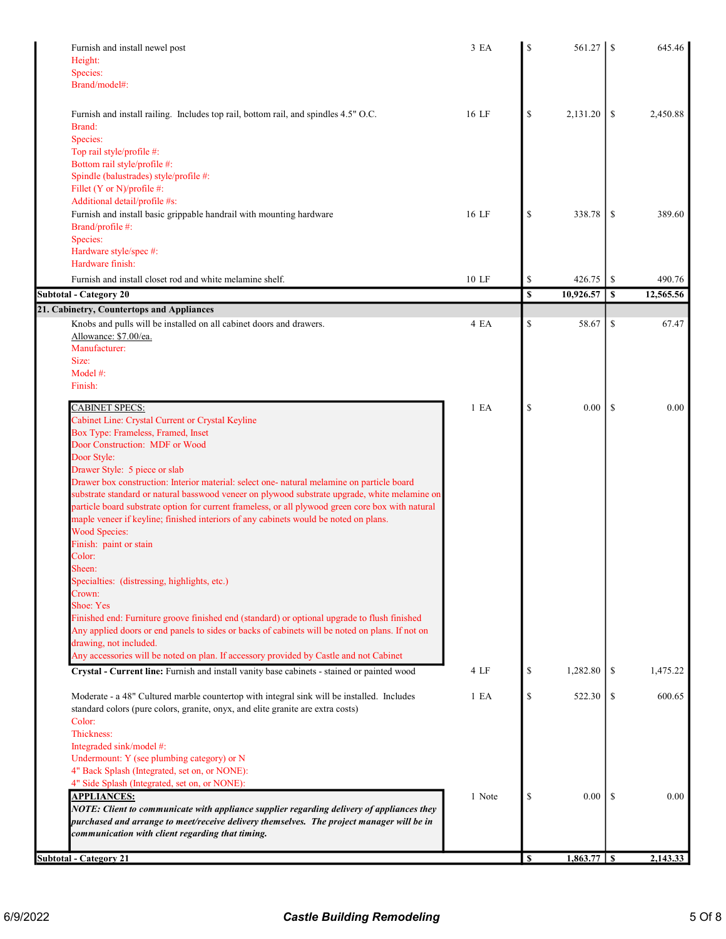| Furnish and install newel post<br>Height:<br>Species:<br>Brand/model#:                                                                                                                                                                                                                                                                                                                                           | 3 EA             | S  | 561.27    | <sup>\$</sup> | 645.46    |
|------------------------------------------------------------------------------------------------------------------------------------------------------------------------------------------------------------------------------------------------------------------------------------------------------------------------------------------------------------------------------------------------------------------|------------------|----|-----------|---------------|-----------|
| Furnish and install railing. Includes top rail, bottom rail, and spindles 4.5" O.C.<br>Brand:                                                                                                                                                                                                                                                                                                                    | 16 LF            | \$ | 2,131.20  | \$            | 2,450.88  |
| Species:<br>Top rail style/profile #:<br>Bottom rail style/profile #:<br>Spindle (balustrades) style/profile #:<br>Fillet (Y or N)/profile #:                                                                                                                                                                                                                                                                    |                  |    |           |               |           |
| Additional detail/profile #s:<br>Furnish and install basic grippable handrail with mounting hardware<br>Brand/profile #:<br>Species:                                                                                                                                                                                                                                                                             | 16 LF            | \$ | 338.78    | \$            | 389.60    |
| Hardware style/spec #:<br>Hardware finish:                                                                                                                                                                                                                                                                                                                                                                       |                  |    |           |               |           |
| Furnish and install closet rod and white melamine shelf.                                                                                                                                                                                                                                                                                                                                                         | 10 LF            | \$ | 426.75    | \$            | 490.76    |
| <b>Subtotal - Category 20</b>                                                                                                                                                                                                                                                                                                                                                                                    |                  | \$ | 10,926.57 | \$            | 12,565.56 |
| 21. Cabinetry, Countertops and Appliances<br>Knobs and pulls will be installed on all cabinet doors and drawers.                                                                                                                                                                                                                                                                                                 | 4 EA             | \$ | 58.67     | \$            | 67.47     |
| Allowance: \$7.00/ea.<br>Manufacturer:<br>Size:<br>Model $#$ :                                                                                                                                                                                                                                                                                                                                                   |                  |    |           |               |           |
| Finish:                                                                                                                                                                                                                                                                                                                                                                                                          |                  |    |           |               |           |
| CABINET SPECS:<br>Cabinet Line: Crystal Current or Crystal Keyline                                                                                                                                                                                                                                                                                                                                               | 1 E <sub>A</sub> | \$ | 0.00      | <sup>\$</sup> | 0.00      |
| Box Type: Frameless, Framed, Inset<br>Door Construction: MDF or Wood                                                                                                                                                                                                                                                                                                                                             |                  |    |           |               |           |
| Door Style:                                                                                                                                                                                                                                                                                                                                                                                                      |                  |    |           |               |           |
| Drawer Style: 5 piece or slab                                                                                                                                                                                                                                                                                                                                                                                    |                  |    |           |               |           |
| Drawer box construction: Interior material: select one- natural melamine on particle board<br>substrate standard or natural basswood veneer on plywood substrate upgrade, white melamine on<br>particle board substrate option for current frameless, or all plywood green core box with natural<br>maple veneer if keyline; finished interiors of any cabinets would be noted on plans.<br><b>Wood Species:</b> |                  |    |           |               |           |
| Finish: paint or stain                                                                                                                                                                                                                                                                                                                                                                                           |                  |    |           |               |           |
| Color:                                                                                                                                                                                                                                                                                                                                                                                                           |                  |    |           |               |           |
| Sheen:<br>Specialties: (distressing, highlights, etc.)                                                                                                                                                                                                                                                                                                                                                           |                  |    |           |               |           |
| Crown:                                                                                                                                                                                                                                                                                                                                                                                                           |                  |    |           |               |           |
| Shoe: Yes<br>Finished end: Furniture groove finished end (standard) or optional upgrade to flush finished<br>Any applied doors or end panels to sides or backs of cabinets will be noted on plans. If not on<br>drawing, not included.                                                                                                                                                                           |                  |    |           |               |           |
| Any accessories will be noted on plan. If accessory provided by Castle and not Cabinet                                                                                                                                                                                                                                                                                                                           |                  |    |           |               |           |
| Crystal - Current line: Furnish and install vanity base cabinets - stained or painted wood                                                                                                                                                                                                                                                                                                                       | 4 LF             | \$ | 1,282.80  | \$            | 1,475.22  |
| Moderate - a 48" Cultured marble countertop with integral sink will be installed. Includes<br>standard colors (pure colors, granite, onyx, and elite granite are extra costs)                                                                                                                                                                                                                                    | 1 E <sub>A</sub> | \$ | 522.30    | \$            | 600.65    |
| Color:<br>Thickness:<br>Integraded sink/model #:                                                                                                                                                                                                                                                                                                                                                                 |                  |    |           |               |           |
| Undermount: Y (see plumbing category) or N                                                                                                                                                                                                                                                                                                                                                                       |                  |    |           |               |           |
| 4" Back Splash (Integrated, set on, or NONE):<br>4" Side Splash (Integrated, set on, or NONE):                                                                                                                                                                                                                                                                                                                   |                  |    |           |               |           |
| <b>APPLIANCES:</b>                                                                                                                                                                                                                                                                                                                                                                                               | 1 Note           | \$ | 0.00      | <sup>\$</sup> | 0.00      |
| NOTE: Client to communicate with appliance supplier regarding delivery of appliances they<br>purchased and arrange to meet/receive delivery themselves. The project manager will be in<br>communication with client regarding that timing.                                                                                                                                                                       |                  |    |           |               |           |
|                                                                                                                                                                                                                                                                                                                                                                                                                  |                  |    |           |               |           |
| <b>Subtotal - Category 21</b>                                                                                                                                                                                                                                                                                                                                                                                    |                  | \$ |           |               | 2,143.33  |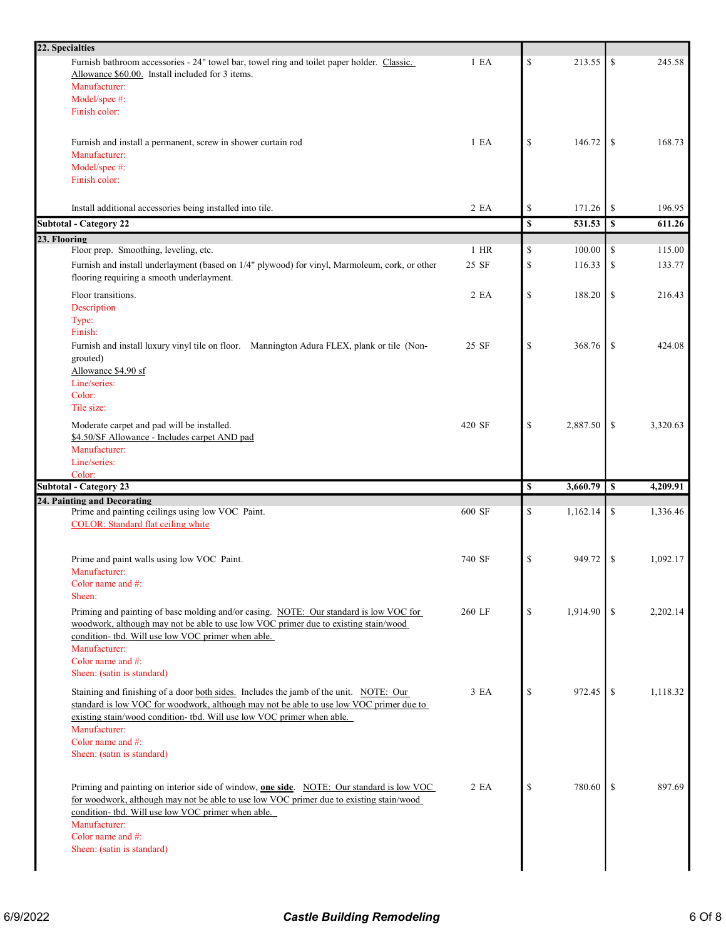| 22. Specialties                                                                                                                                                                  |                  |                                                                       |          |                  |          |
|----------------------------------------------------------------------------------------------------------------------------------------------------------------------------------|------------------|-----------------------------------------------------------------------|----------|------------------|----------|
| Furnish bathroom accessories - 24" towel bar, towel ring and toilet paper holder. Classic.                                                                                       | 1 E <sub>A</sub> | $\mathbb{S}$                                                          | 213.55   | \$               | 245.58   |
| Allowance \$60.00. Install included for 3 items.                                                                                                                                 |                  |                                                                       |          |                  |          |
| Manufacturer:                                                                                                                                                                    |                  |                                                                       |          |                  |          |
| Model/spec #:                                                                                                                                                                    |                  |                                                                       |          |                  |          |
| Finish color:                                                                                                                                                                    |                  |                                                                       |          |                  |          |
|                                                                                                                                                                                  |                  |                                                                       |          |                  |          |
| Furnish and install a permanent, screw in shower curtain rod                                                                                                                     | 1 E A            | \$                                                                    | 146.72   | \$               | 168.73   |
| Manufacturer:                                                                                                                                                                    |                  |                                                                       |          |                  |          |
| Model/spec #:                                                                                                                                                                    |                  |                                                                       |          |                  |          |
| Finish color:                                                                                                                                                                    |                  |                                                                       |          |                  |          |
|                                                                                                                                                                                  |                  |                                                                       |          |                  |          |
| Install additional accessories being installed into tile.                                                                                                                        | 2 EA             | \$                                                                    | 171.26   | \$               | 196.95   |
| <b>Subtotal - Category 22</b>                                                                                                                                                    |                  | \$                                                                    | 531.53   | $\mathbb S$      | 611.26   |
| 23. Flooring<br>Floor prep. Smoothing, leveling, etc.                                                                                                                            | $1$ HR           | \$                                                                    | 100.00   | \$               | 115.00   |
| Furnish and install underlayment (based on 1/4" plywood) for vinyl, Marmoleum, cork, or other                                                                                    | 25 SF            | $\mathbb{S}% _{t}\left( t\right) \equiv\mathbb{S}_{t}\left( t\right)$ | 116.33   | \$               | 133.77   |
| flooring requiring a smooth underlayment.                                                                                                                                        |                  |                                                                       |          |                  |          |
| Floor transitions.                                                                                                                                                               | 2 EA             | \$                                                                    | 188.20   | \$               | 216.43   |
| Description                                                                                                                                                                      |                  |                                                                       |          |                  |          |
| Type:                                                                                                                                                                            |                  |                                                                       |          |                  |          |
| Finish:                                                                                                                                                                          |                  |                                                                       |          |                  |          |
| Furnish and install luxury vinyl tile on floor. Mannington Adura FLEX, plank or tile (Non-                                                                                       | 25 SF            | \$                                                                    | 368.76   | \$               | 424.08   |
| grouted)<br>Allowance \$4.90 sf                                                                                                                                                  |                  |                                                                       |          |                  |          |
| Line/series:                                                                                                                                                                     |                  |                                                                       |          |                  |          |
| Color:                                                                                                                                                                           |                  |                                                                       |          |                  |          |
| Tile size:                                                                                                                                                                       |                  |                                                                       |          |                  |          |
| Moderate carpet and pad will be installed.                                                                                                                                       | 420 SF           | $\mathcal{S}$                                                         | 2,887.50 | \$               | 3,320.63 |
| \$4.50/SF Allowance - Includes carpet AND pad                                                                                                                                    |                  |                                                                       |          |                  |          |
| Manufacturer:                                                                                                                                                                    |                  |                                                                       |          |                  |          |
| Line/series:                                                                                                                                                                     |                  |                                                                       |          |                  |          |
|                                                                                                                                                                                  |                  |                                                                       |          |                  |          |
| Color:                                                                                                                                                                           |                  |                                                                       |          |                  |          |
| <b>Subtotal - Category 23</b>                                                                                                                                                    |                  | \$                                                                    | 3,660.79 | $\boldsymbol{s}$ | 4,209.91 |
| 24. Painting and Decorating                                                                                                                                                      |                  |                                                                       |          |                  |          |
| Prime and painting ceilings using low VOC Paint.                                                                                                                                 | 600 SF           | \$                                                                    | 1,162.14 | \$               | 1,336.46 |
| <b>COLOR:</b> Standard flat ceiling white                                                                                                                                        |                  |                                                                       |          |                  |          |
|                                                                                                                                                                                  |                  |                                                                       |          |                  |          |
| Prime and paint walls using low VOC Paint.                                                                                                                                       | 740 SF           | \$                                                                    | 949.72   | \$               | 1,092.17 |
| Manufacturer:                                                                                                                                                                    |                  |                                                                       |          |                  |          |
| Color name and #:                                                                                                                                                                |                  |                                                                       |          |                  |          |
| Sheen:                                                                                                                                                                           |                  |                                                                       |          |                  |          |
| Priming and painting of base molding and/or casing. NOTE: Our standard is low VOC for                                                                                            | 260 LF           | \$                                                                    | 1,914.90 | \$               | 2,202.14 |
| woodwork, although may not be able to use low VOC primer due to existing stain/wood                                                                                              |                  |                                                                       |          |                  |          |
| condition- tbd. Will use low VOC primer when able.                                                                                                                               |                  |                                                                       |          |                  |          |
| Manufacturer:<br>Color name and #:                                                                                                                                               |                  |                                                                       |          |                  |          |
| Sheen: (satin is standard)                                                                                                                                                       |                  |                                                                       |          |                  |          |
|                                                                                                                                                                                  |                  |                                                                       |          |                  |          |
| Staining and finishing of a door both sides. Includes the jamb of the unit. NOTE: Our<br>standard is low VOC for woodwork, although may not be able to use low VOC primer due to | 3 EA             | \$                                                                    | 972.45   | \$               | 1,118.32 |
| existing stain/wood condition- tbd. Will use low VOC primer when able.                                                                                                           |                  |                                                                       |          |                  |          |
| Manufacturer:                                                                                                                                                                    |                  |                                                                       |          |                  |          |
| Color name and #:                                                                                                                                                                |                  |                                                                       |          |                  |          |
| Sheen: (satin is standard)                                                                                                                                                       |                  |                                                                       |          |                  |          |
|                                                                                                                                                                                  |                  |                                                                       |          |                  |          |
| Priming and painting on interior side of window, one side. NOTE: Our standard is low VOC                                                                                         | 2 EA             | \$                                                                    | 780.60   | S                | 897.69   |
| for woodwork, although may not be able to use low VOC primer due to existing stain/wood                                                                                          |                  |                                                                       |          |                  |          |
| condition- tbd. Will use low VOC primer when able.                                                                                                                               |                  |                                                                       |          |                  |          |
| Manufacturer:                                                                                                                                                                    |                  |                                                                       |          |                  |          |
| Color name and #:<br>Sheen: (satin is standard)                                                                                                                                  |                  |                                                                       |          |                  |          |
|                                                                                                                                                                                  |                  |                                                                       |          |                  |          |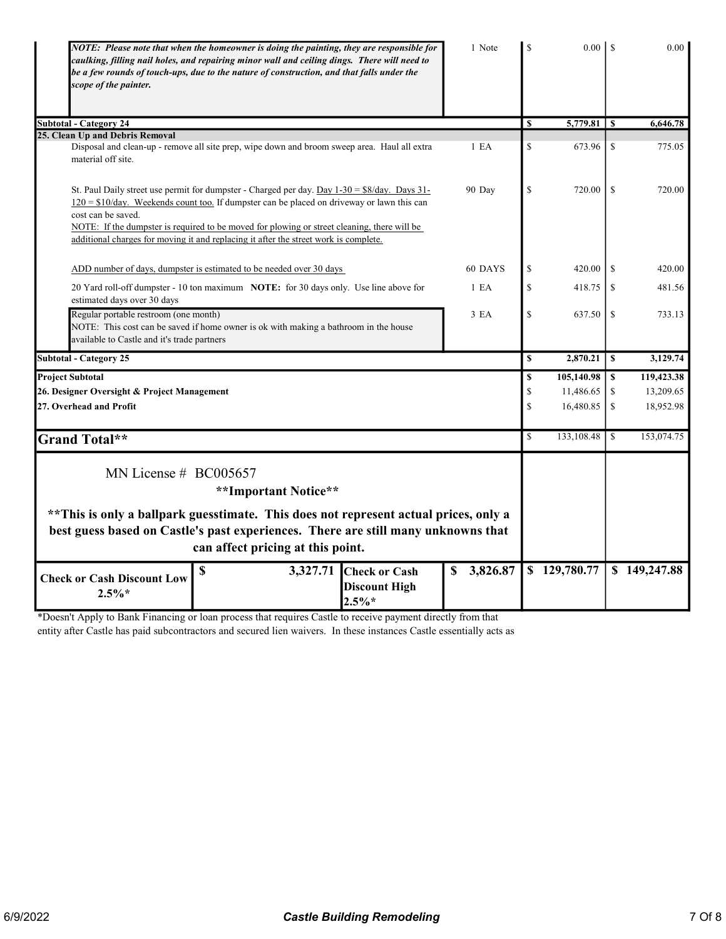| NOTE: Please note that when the homeowner is doing the painting, they are responsible for<br>caulking, filling nail holes, and repairing minor wall and ceiling dings. There will need to<br>be a few rounds of touch-ups, due to the nature of construction, and that falls under the<br>scope of the painter.                                                                                                | 1 Note           | $\mathbf S$             |              |               | 0.00         |
|----------------------------------------------------------------------------------------------------------------------------------------------------------------------------------------------------------------------------------------------------------------------------------------------------------------------------------------------------------------------------------------------------------------|------------------|-------------------------|--------------|---------------|--------------|
| <b>Subtotal - Category 24</b>                                                                                                                                                                                                                                                                                                                                                                                  |                  | S                       | 5,779.81     | -S            | 6,646.78     |
| 25. Clean Up and Debris Removal                                                                                                                                                                                                                                                                                                                                                                                |                  |                         |              |               |              |
| Disposal and clean-up - remove all site prep, wipe down and broom sweep area. Haul all extra<br>material off site.                                                                                                                                                                                                                                                                                             | 1 E <sub>A</sub> | \$                      | 673.96       | -S            | 775.05       |
| St. Paul Daily street use permit for dumpster - Charged per day. Day $1-30 = $8/day$ . Days $31-$<br>$120 = $10/day$ . Weekends count too. If dumpster can be placed on driveway or lawn this can<br>cost can be saved.<br>NOTE: If the dumpster is required to be moved for plowing or street cleaning, there will be<br>additional charges for moving it and replacing it after the street work is complete. | 90 Day           | \$                      | 720.00       | <sup>\$</sup> | 720.00       |
| ADD number of days, dumpster is estimated to be needed over 30 days                                                                                                                                                                                                                                                                                                                                            | 60 DAYS          | \$                      | 420.00       | <sup>\$</sup> | 420.00       |
| 20 Yard roll-off dumpster - 10 ton maximum NOTE: for 30 days only. Use line above for<br>estimated days over 30 days                                                                                                                                                                                                                                                                                           | 1 E <sub>A</sub> | \$                      | 418.75       | -S            | 481.56       |
| Regular portable restroom (one month)<br>NOTE: This cost can be saved if home owner is ok with making a bathroom in the house<br>available to Castle and it's trade partners                                                                                                                                                                                                                                   | 3 <sub>EA</sub>  | \$                      | 637.50       | <sup>\$</sup> | 733.13       |
| <b>Subtotal - Category 25</b>                                                                                                                                                                                                                                                                                                                                                                                  |                  | $\overline{\mathbf{s}}$ | 2,870.21     | $\mathbf{s}$  | 3,129.74     |
| <b>Project Subtotal</b>                                                                                                                                                                                                                                                                                                                                                                                        |                  | $\mathbf S$             | 105,140.98   | $\mathbf S$   | 119,423.38   |
| 26. Designer Oversight & Project Management                                                                                                                                                                                                                                                                                                                                                                    |                  | \$                      | 11,486.65    | \$            | 13,209.65    |
| 27. Overhead and Profit                                                                                                                                                                                                                                                                                                                                                                                        |                  | \$                      | 16,480.85    | \$            | 18,952.98    |
| <b>Grand Total**</b>                                                                                                                                                                                                                                                                                                                                                                                           |                  | \$                      | 133,108.48   | -S            | 153,074.75   |
| MN License $# BCO05657$<br>**Important Notice**<br>** This is only a ballpark guesstimate. This does not represent actual prices, only a                                                                                                                                                                                                                                                                       |                  |                         |              |               |              |
| best guess based on Castle's past experiences. There are still many unknowns that<br>can affect pricing at this point.                                                                                                                                                                                                                                                                                         |                  |                         |              |               |              |
| \$<br>3,327.71<br><b>Check or Cash</b><br><b>Check or Cash Discount Low</b><br><b>Discount High</b><br>$2.5\%*$<br>$2.5\%*$                                                                                                                                                                                                                                                                                    | 3,826.87         |                         | \$129,780.77 |               | \$149,247.88 |

\*Doesn't Apply to Bank Financing or loan process that requires Castle to receive payment directly from that

entity after Castle has paid subcontractors and secured lien waivers. In these instances Castle essentially acts as